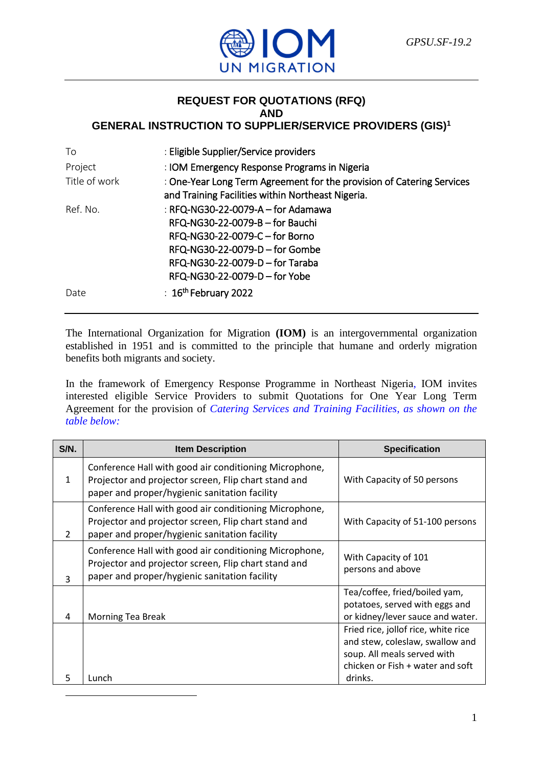

### **REQUEST FOR QUOTATIONS (RFQ) AND GENERAL INSTRUCTION TO SUPPLIER/SERVICE PROVIDERS (GIS)<sup>1</sup>**

| To            | : Eligible Supplier/Service providers                                                                                                                                                                         |
|---------------|---------------------------------------------------------------------------------------------------------------------------------------------------------------------------------------------------------------|
| Project       | : IOM Emergency Response Programs in Nigeria                                                                                                                                                                  |
| Title of work | : One-Year Long Term Agreement for the provision of Catering Services<br>and Training Facilities within Northeast Nigeria.                                                                                    |
| Ref. No.      | : RFQ-NG30-22-0079-A - for Adamawa<br>RFQ-NG30-22-0079-B - for Bauchi<br>RFQ-NG30-22-0079-C - for Borno<br>RFQ-NG30-22-0079-D – for Gombe<br>RFQ-NG30-22-0079-D - for Taraba<br>RFQ-NG30-22-0079-D - for Yobe |
| Date          | $\pm 16$ <sup>th</sup> February 2022                                                                                                                                                                          |

The International Organization for Migration **(IOM)** is an intergovernmental organization established in 1951 and is committed to the principle that humane and orderly migration benefits both migrants and society.

In the framework of Emergency Response Programme in Northeast Nigeria, IOM invites interested eligible Service Providers to submit Quotations for One Year Long Term Agreement for the provision of *Catering Services and Training Facilities, as shown on the table below:*

| S/N.           | <b>Item Description</b>                                                                                                                                         | <b>Specification</b>                                                                                                                      |
|----------------|-----------------------------------------------------------------------------------------------------------------------------------------------------------------|-------------------------------------------------------------------------------------------------------------------------------------------|
| $\mathbf{1}$   | Conference Hall with good air conditioning Microphone,<br>Projector and projector screen, Flip chart stand and<br>paper and proper/hygienic sanitation facility | With Capacity of 50 persons                                                                                                               |
| $\overline{2}$ | Conference Hall with good air conditioning Microphone,<br>Projector and projector screen, Flip chart stand and<br>paper and proper/hygienic sanitation facility | With Capacity of 51-100 persons                                                                                                           |
| 3              | Conference Hall with good air conditioning Microphone,<br>Projector and projector screen, Flip chart stand and<br>paper and proper/hygienic sanitation facility | With Capacity of 101<br>persons and above                                                                                                 |
| 4              | Morning Tea Break                                                                                                                                               | Tea/coffee, fried/boiled yam,<br>potatoes, served with eggs and<br>or kidney/lever sauce and water.                                       |
|                |                                                                                                                                                                 | Fried rice, jollof rice, white rice<br>and stew, coleslaw, swallow and<br>soup. All meals served with<br>chicken or Fish + water and soft |
| 5              | Lunch                                                                                                                                                           | drinks.                                                                                                                                   |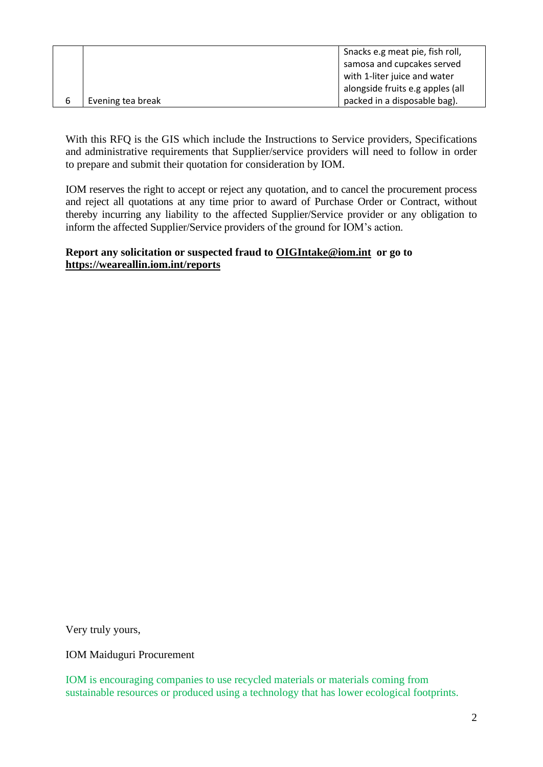|   |                   | Snacks e.g meat pie, fish roll,  |
|---|-------------------|----------------------------------|
|   |                   |                                  |
|   |                   | samosa and cupcakes served       |
|   |                   | with 1-liter juice and water     |
|   |                   | alongside fruits e.g apples (all |
| 6 | Evening tea break | packed in a disposable bag).     |
|   |                   |                                  |

With this RFQ is the GIS which include the Instructions to Service providers, Specifications and administrative requirements that Supplier/service providers will need to follow in order to prepare and submit their quotation for consideration by IOM.

IOM reserves the right to accept or reject any quotation, and to cancel the procurement process and reject all quotations at any time prior to award of Purchase Order or Contract, without thereby incurring any liability to the affected Supplier/Service provider or any obligation to inform the affected Supplier/Service providers of the ground for IOM's action.

## **Report any solicitation or suspected fraud to [OIGIntake@iom.int](mailto:OIGIntake@iom.int) or go to <https://weareallin.iom.int/reports>**

Very truly yours,

IOM Maiduguri Procurement

IOM is encouraging companies to use recycled materials or materials coming from sustainable resources or produced using a technology that has lower ecological footprints.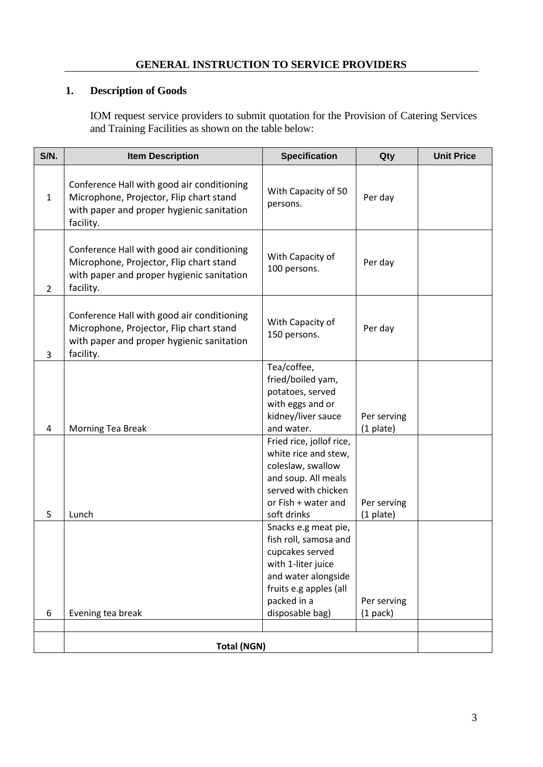## **GENERAL INSTRUCTION TO SERVICE PROVIDERS**

# **1. Description of Goods**

IOM request service providers to submit quotation for the Provision of Catering Services and Training Facilities as shown on the table below:

| S/N.           | <b>Item Description</b>                                                                                                                         | <b>Specification</b>                                                                                                                                                      | Qty                       | <b>Unit Price</b> |
|----------------|-------------------------------------------------------------------------------------------------------------------------------------------------|---------------------------------------------------------------------------------------------------------------------------------------------------------------------------|---------------------------|-------------------|
| $\mathbf{1}$   | Conference Hall with good air conditioning<br>Microphone, Projector, Flip chart stand<br>with paper and proper hygienic sanitation<br>facility. | With Capacity of 50<br>persons.                                                                                                                                           | Per day                   |                   |
| $\overline{2}$ | Conference Hall with good air conditioning<br>Microphone, Projector, Flip chart stand<br>with paper and proper hygienic sanitation<br>facility. | With Capacity of<br>100 persons.                                                                                                                                          | Per day                   |                   |
| 3              | Conference Hall with good air conditioning<br>Microphone, Projector, Flip chart stand<br>with paper and proper hygienic sanitation<br>facility. | With Capacity of<br>150 persons.                                                                                                                                          | Per day                   |                   |
| 4              | Morning Tea Break                                                                                                                               | Tea/coffee,<br>fried/boiled yam,<br>potatoes, served<br>with eggs and or<br>kidney/liver sauce<br>and water.                                                              | Per serving<br>(1 plate)  |                   |
| 5              | Lunch                                                                                                                                           | Fried rice, jollof rice,<br>white rice and stew,<br>coleslaw, swallow<br>and soup. All meals<br>served with chicken<br>or Fish + water and<br>soft drinks                 | Per serving<br>(1 plate)  |                   |
| 6              | Evening tea break                                                                                                                               | Snacks e.g meat pie,<br>fish roll, samosa and<br>cupcakes served<br>with 1-liter juice<br>and water alongside<br>fruits e.g apples (all<br>packed in a<br>disposable bag) | Per serving<br>$(1$ pack) |                   |
|                | <b>Total (NGN)</b>                                                                                                                              |                                                                                                                                                                           |                           |                   |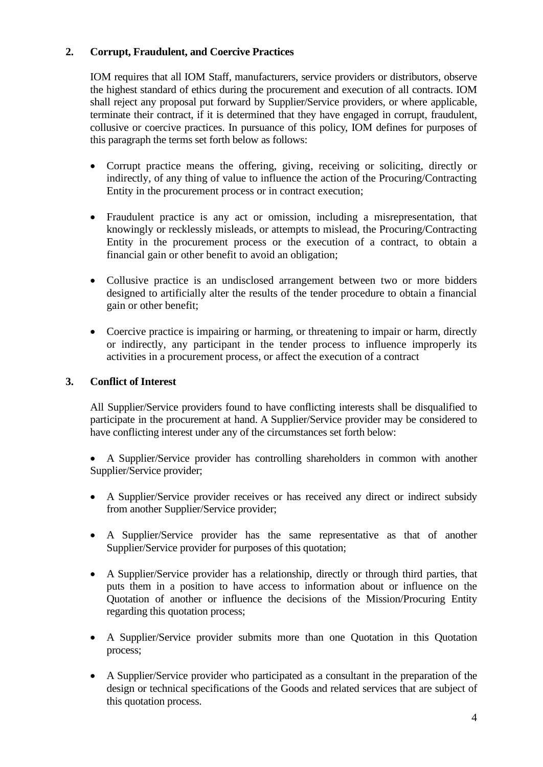# **2. Corrupt, Fraudulent, and Coercive Practices**

IOM requires that all IOM Staff, manufacturers, service providers or distributors, observe the highest standard of ethics during the procurement and execution of all contracts. IOM shall reject any proposal put forward by Supplier/Service providers, or where applicable, terminate their contract, if it is determined that they have engaged in corrupt, fraudulent, collusive or coercive practices. In pursuance of this policy, IOM defines for purposes of this paragraph the terms set forth below as follows:

- Corrupt practice means the offering, giving, receiving or soliciting, directly or indirectly, of any thing of value to influence the action of the Procuring/Contracting Entity in the procurement process or in contract execution;
- Fraudulent practice is any act or omission, including a misrepresentation, that knowingly or recklessly misleads, or attempts to mislead, the Procuring/Contracting Entity in the procurement process or the execution of a contract, to obtain a financial gain or other benefit to avoid an obligation;
- Collusive practice is an undisclosed arrangement between two or more bidders designed to artificially alter the results of the tender procedure to obtain a financial gain or other benefit;
- Coercive practice is impairing or harming, or threatening to impair or harm, directly or indirectly, any participant in the tender process to influence improperly its activities in a procurement process, or affect the execution of a contract

# **3. Conflict of Interest**

All Supplier/Service providers found to have conflicting interests shall be disqualified to participate in the procurement at hand. A Supplier/Service provider may be considered to have conflicting interest under any of the circumstances set forth below:

• A Supplier/Service provider has controlling shareholders in common with another Supplier/Service provider;

- A Supplier/Service provider receives or has received any direct or indirect subsidy from another Supplier/Service provider;
- A Supplier/Service provider has the same representative as that of another Supplier/Service provider for purposes of this quotation;
- A Supplier/Service provider has a relationship, directly or through third parties, that puts them in a position to have access to information about or influence on the Quotation of another or influence the decisions of the Mission/Procuring Entity regarding this quotation process;
- A Supplier/Service provider submits more than one Quotation in this Quotation process;
- A Supplier/Service provider who participated as a consultant in the preparation of the design or technical specifications of the Goods and related services that are subject of this quotation process.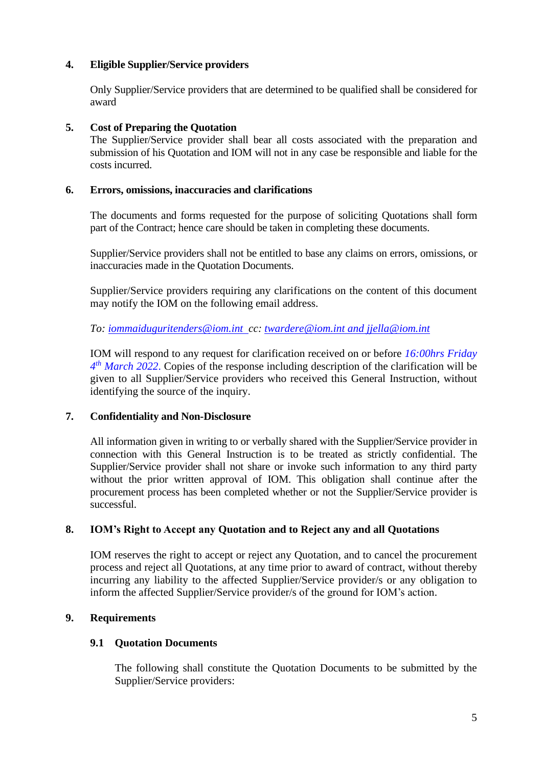# **4. Eligible Supplier/Service providers**

Only Supplier/Service providers that are determined to be qualified shall be considered for award

## **5. Cost of Preparing the Quotation**

The Supplier/Service provider shall bear all costs associated with the preparation and submission of his Quotation and IOM will not in any case be responsible and liable for the costs incurred.

### **6. Errors, omissions, inaccuracies and clarifications**

The documents and forms requested for the purpose of soliciting Quotations shall form part of the Contract; hence care should be taken in completing these documents.

Supplier/Service providers shall not be entitled to base any claims on errors, omissions, or inaccuracies made in the Quotation Documents.

Supplier/Service providers requiring any clarifications on the content of this document may notify the IOM on the following email address.

*To: [iommaiduguritenders@iom.int](mailto:iommaiduguritenders@iom.int) cc: [twardere@iom.int](mailto:twardere@iom.int) and jjella@iom.int*

IOM will respond to any request for clarification received on or before *16:00hrs Friday 4 th March 2022*. Copies of the response including description of the clarification will be given to all Supplier/Service providers who received this General Instruction, without identifying the source of the inquiry.

## **7. Confidentiality and Non-Disclosure**

All information given in writing to or verbally shared with the Supplier/Service provider in connection with this General Instruction is to be treated as strictly confidential. The Supplier/Service provider shall not share or invoke such information to any third party without the prior written approval of IOM. This obligation shall continue after the procurement process has been completed whether or not the Supplier/Service provider is successful.

## **8. IOM's Right to Accept any Quotation and to Reject any and all Quotations**

IOM reserves the right to accept or reject any Quotation, and to cancel the procurement process and reject all Quotations, at any time prior to award of contract, without thereby incurring any liability to the affected Supplier/Service provider/s or any obligation to inform the affected Supplier/Service provider/s of the ground for IOM's action.

## **9. Requirements**

## **9.1 Quotation Documents**

The following shall constitute the Quotation Documents to be submitted by the Supplier/Service providers: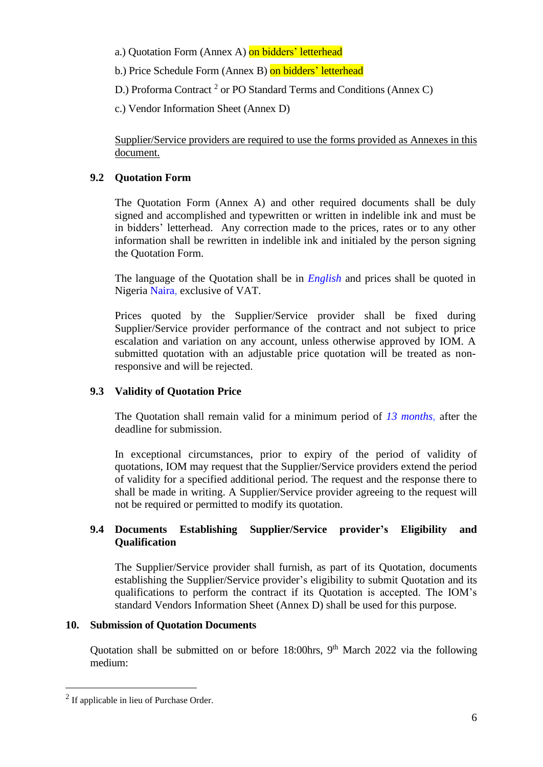a.) Quotation Form (Annex A) on bidders' letterhead

b.) Price Schedule Form (Annex B) on bidders' letterhead

D.) Proforma Contract<sup>2</sup> or PO Standard Terms and Conditions (Annex C)

c.) Vendor Information Sheet (Annex D)

Supplier/Service providers are required to use the forms provided as Annexes in this document.

# **9.2 Quotation Form**

The Quotation Form (Annex A) and other required documents shall be duly signed and accomplished and typewritten or written in indelible ink and must be in bidders' letterhead. Any correction made to the prices, rates or to any other information shall be rewritten in indelible ink and initialed by the person signing the Quotation Form.

The language of the Quotation shall be in *English* and prices shall be quoted in Nigeria Naira, exclusive of VAT.

Prices quoted by the Supplier/Service provider shall be fixed during Supplier/Service provider performance of the contract and not subject to price escalation and variation on any account, unless otherwise approved by IOM. A submitted quotation with an adjustable price quotation will be treated as nonresponsive and will be rejected.

# **9.3 Validity of Quotation Price**

The Quotation shall remain valid for a minimum period of *13 months*, after the deadline for submission.

In exceptional circumstances, prior to expiry of the period of validity of quotations, IOM may request that the Supplier/Service providers extend the period of validity for a specified additional period. The request and the response there to shall be made in writing. A Supplier/Service provider agreeing to the request will not be required or permitted to modify its quotation.

# **9.4 Documents Establishing Supplier/Service provider's Eligibility and Qualification**

The Supplier/Service provider shall furnish, as part of its Quotation, documents establishing the Supplier/Service provider's eligibility to submit Quotation and its qualifications to perform the contract if its Quotation is accepted. The IOM's standard Vendors Information Sheet (Annex D) shall be used for this purpose.

## **10. Submission of Quotation Documents**

Quotation shall be submitted on or before  $18:00$ hrs, 9<sup>th</sup> March 2022 via the following medium:

 $2$  If applicable in lieu of Purchase Order.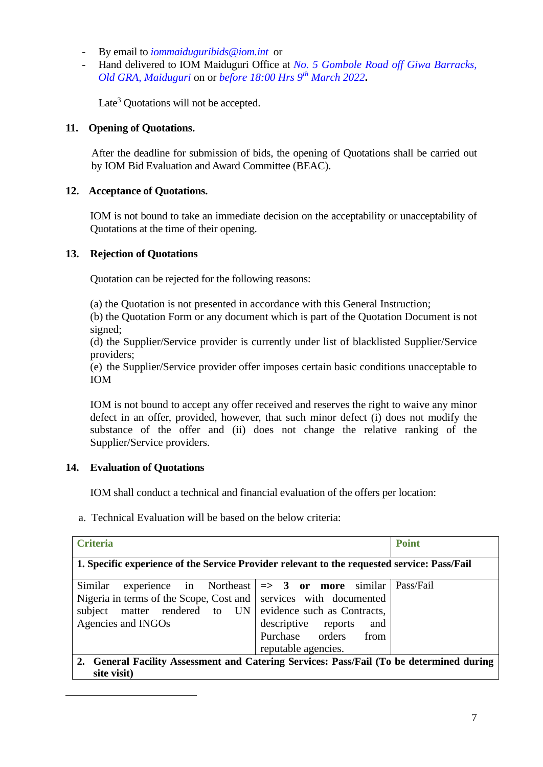- By email to *[iommaiduguribids@iom.int](mailto:iommaiduguribids@iom.int)* or
- Hand delivered to IOM Maiduguri Office at *No. 5 Gombole Road off Giwa Barracks, Old GRA, Maiduguri* on or *before 18:00 Hrs 9 th March 2022***.**

Late<sup>3</sup> Quotations will not be accepted.

### **11. Opening of Quotations.**

After the deadline for submission of bids, the opening of Quotations shall be carried out by IOM Bid Evaluation and Award Committee (BEAC).

### **12. Acceptance of Quotations.**

IOM is not bound to take an immediate decision on the acceptability or unacceptability of Quotations at the time of their opening.

### **13. Rejection of Quotations**

Quotation can be rejected for the following reasons:

(a) the Quotation is not presented in accordance with this General Instruction;

(b) the Quotation Form or any document which is part of the Quotation Document is not signed;

(d) the Supplier/Service provider is currently under list of blacklisted Supplier/Service providers;

(e) the Supplier/Service provider offer imposes certain basic conditions unacceptable to IOM

IOM is not bound to accept any offer received and reserves the right to waive any minor defect in an offer, provided, however, that such minor defect (i) does not modify the substance of the offer and (ii) does not change the relative ranking of the Supplier/Service providers.

## **14. Evaluation of Quotations**

IOM shall conduct a technical and financial evaluation of the offers per location:

a. Technical Evaluation will be based on the below criteria:

| <b>Criteria</b>                                                                             |                            | <b>Point</b> |
|---------------------------------------------------------------------------------------------|----------------------------|--------------|
|                                                                                             |                            |              |
| 1. Specific experience of the Service Provider relevant to the requested service: Pass/Fail |                            |              |
|                                                                                             |                            |              |
| experience in Northeast $  \Rightarrow 3$ or more<br>Similar                                | similar                    | Pass/Fail    |
| Nigeria in terms of the Scope, Cost and                                                     | services with documented   |              |
| subject matter rendered to UN evidence such as Contracts,                                   |                            |              |
| Agencies and INGOs                                                                          | descriptive reports<br>and |              |
|                                                                                             | Purchase orders from       |              |
|                                                                                             | reputable agencies.        |              |
| 2. General Facility Assessment and Catering Services: Pass/Fail (To be determined during    |                            |              |
| site visit)                                                                                 |                            |              |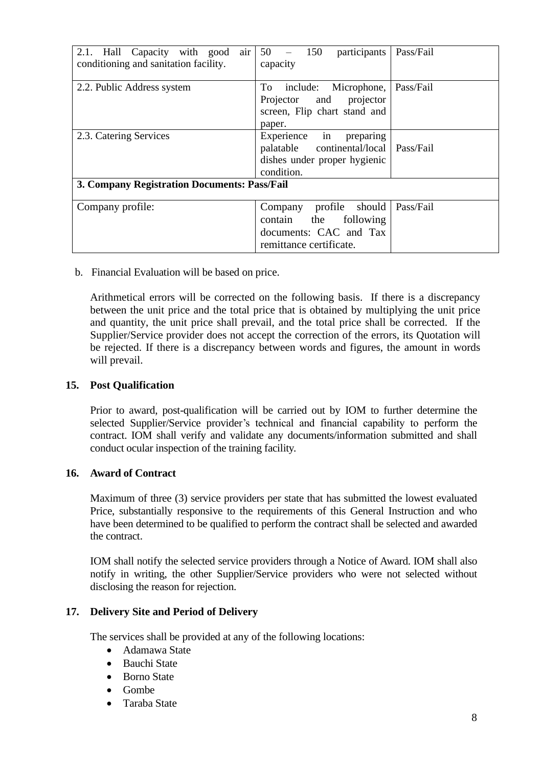| 2.1. Hall Capacity with good<br>air<br>conditioning and sanitation facility. | participants<br>$50 -$<br>150<br>capacity                                                                           | Pass/Fail |
|------------------------------------------------------------------------------|---------------------------------------------------------------------------------------------------------------------|-----------|
| 2.2. Public Address system                                                   | To include: Microphone,<br>Projector and projector<br>screen, Flip chart stand and<br>paper.                        | Pass/Fail |
| 2.3. Catering Services                                                       | Experience in<br>preparing<br>palatable continental/local   Pass/Fail<br>dishes under proper hygienic<br>condition. |           |
| 3. Company Registration Documents: Pass/Fail                                 |                                                                                                                     |           |
| Company profile:                                                             | Company profile should<br>contain the<br>following<br>documents: CAC and Tax<br>remittance certificate.             | Pass/Fail |

b. Financial Evaluation will be based on price.

Arithmetical errors will be corrected on the following basis. If there is a discrepancy between the unit price and the total price that is obtained by multiplying the unit price and quantity, the unit price shall prevail, and the total price shall be corrected. If the Supplier/Service provider does not accept the correction of the errors, its Quotation will be rejected. If there is a discrepancy between words and figures, the amount in words will prevail.

### **15. Post Qualification**

Prior to award, post-qualification will be carried out by IOM to further determine the selected Supplier/Service provider's technical and financial capability to perform the contract. IOM shall verify and validate any documents/information submitted and shall conduct ocular inspection of the training facility.

### **16. Award of Contract**

Maximum of three (3) service providers per state that has submitted the lowest evaluated Price, substantially responsive to the requirements of this General Instruction and who have been determined to be qualified to perform the contract shall be selected and awarded the contract.

IOM shall notify the selected service providers through a Notice of Award. IOM shall also notify in writing, the other Supplier/Service providers who were not selected without disclosing the reason for rejection.

### **17. Delivery Site and Period of Delivery**

The services shall be provided at any of the following locations:

- Adamawa State
- Bauchi State
- Borno State
- Gombe
- Taraba State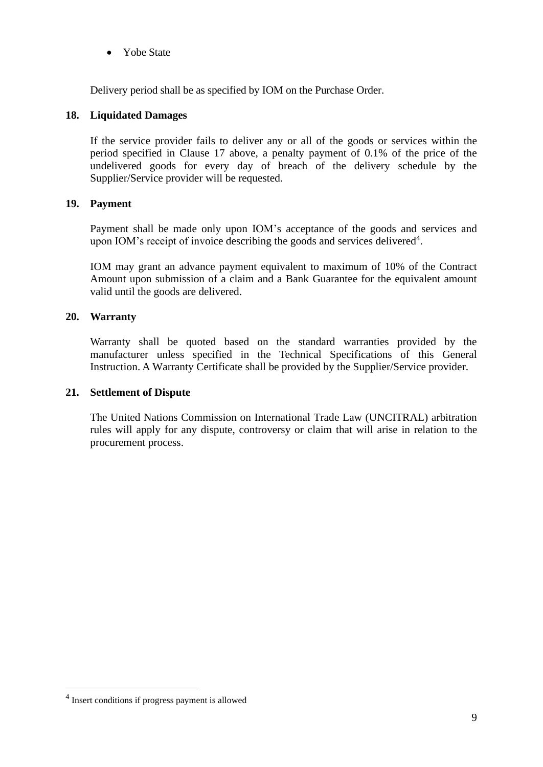• Yobe State

Delivery period shall be as specified by IOM on the Purchase Order.

# **18. Liquidated Damages**

If the service provider fails to deliver any or all of the goods or services within the period specified in Clause 17 above, a penalty payment of 0.1% of the price of the undelivered goods for every day of breach of the delivery schedule by the Supplier/Service provider will be requested.

# **19. Payment**

Payment shall be made only upon IOM's acceptance of the goods and services and upon IOM's receipt of invoice describing the goods and services delivered<sup>4</sup>.

IOM may grant an advance payment equivalent to maximum of 10% of the Contract Amount upon submission of a claim and a Bank Guarantee for the equivalent amount valid until the goods are delivered.

# **20. Warranty**

Warranty shall be quoted based on the standard warranties provided by the manufacturer unless specified in the Technical Specifications of this General Instruction. A Warranty Certificate shall be provided by the Supplier/Service provider.

## **21. Settlement of Dispute**

The United Nations Commission on International Trade Law (UNCITRAL) arbitration rules will apply for any dispute, controversy or claim that will arise in relation to the procurement process.

<sup>4</sup> Insert conditions if progress payment is allowed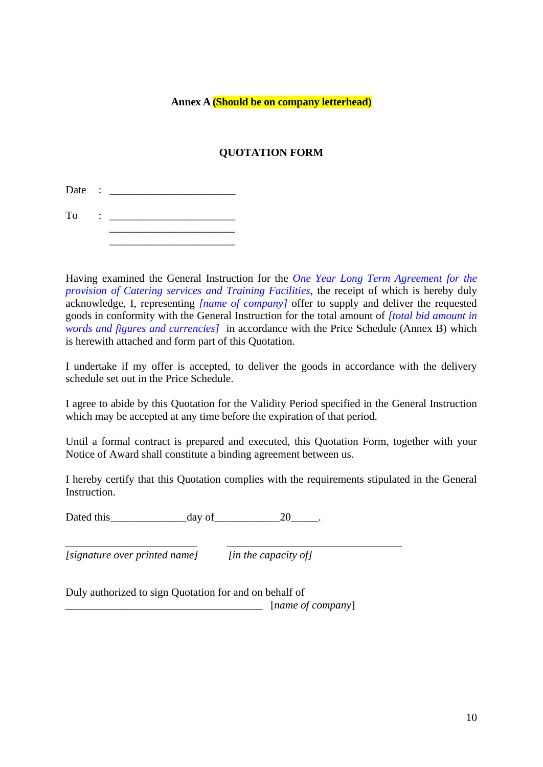### **Annex A (Should be on company letterhead)**

# **QUOTATION FORM**

Date : \_\_\_\_\_\_\_\_\_\_\_\_\_\_\_\_\_\_\_\_\_\_\_

 $To$  :

 $\overline{\phantom{a}}$  , which is a set of the set of the set of the set of the set of the set of the set of the set of the set of the set of the set of the set of the set of the set of the set of the set of the set of the set of th

Having examined the General Instruction for the *One Year Long Term Agreement for the provision of Catering services and Training Facilities*, the receipt of which is hereby duly acknowledge, I, representing *[name of company]* offer to supply and deliver the requested goods in conformity with the General Instruction for the total amount of *[total bid amount in words and figures and currencies]* in accordance with the Price Schedule (Annex B) which is herewith attached and form part of this Quotation.

I undertake if my offer is accepted, to deliver the goods in accordance with the delivery schedule set out in the Price Schedule.

I agree to abide by this Quotation for the Validity Period specified in the General Instruction which may be accepted at any time before the expiration of that period.

Until a formal contract is prepared and executed, this Quotation Form, together with your Notice of Award shall constitute a binding agreement between us.

I hereby certify that this Quotation complies with the requirements stipulated in the General Instruction.

Dated this day of 20

*[signature over printed name] [in the capacity of]*

\_\_\_\_\_\_\_\_\_\_\_\_\_\_\_\_\_\_\_\_\_\_\_\_ \_\_\_\_\_\_\_\_\_\_\_\_\_\_\_\_\_\_\_\_\_\_\_\_\_\_\_\_\_\_\_\_

Duly authorized to sign Quotation for and on behalf of

\_\_\_\_\_\_\_\_\_\_\_\_\_\_\_\_\_\_\_\_\_\_\_\_\_\_\_\_\_\_\_\_\_\_\_\_ [*name of company*]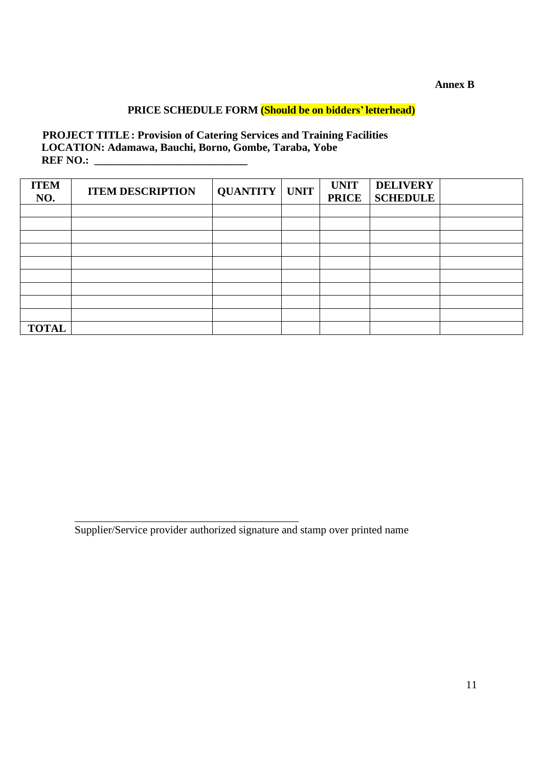### **Annex B**

# **PRICE SCHEDULE FORM (Should be on bidders'letterhead)**

**PROJECT TITLE: Provision of Catering Services and Training Facilities LOCATION: Adamawa, Bauchi, Borno, Gombe, Taraba, Yobe REF NO.: \_\_\_\_\_\_\_\_\_\_\_\_\_\_\_\_\_\_\_\_\_\_\_\_\_\_\_\_** 

| <b>ITEM</b><br>NO. | <b>ITEM DESCRIPTION</b> | <b>QUANTITY   UNIT</b> | <b>UNIT</b><br><b>PRICE</b> | <b>DELIVERY</b><br><b>SCHEDULE</b> |  |
|--------------------|-------------------------|------------------------|-----------------------------|------------------------------------|--|
|                    |                         |                        |                             |                                    |  |
|                    |                         |                        |                             |                                    |  |
|                    |                         |                        |                             |                                    |  |
|                    |                         |                        |                             |                                    |  |
|                    |                         |                        |                             |                                    |  |
|                    |                         |                        |                             |                                    |  |
|                    |                         |                        |                             |                                    |  |
|                    |                         |                        |                             |                                    |  |
|                    |                         |                        |                             |                                    |  |
| <b>TOTAL</b>       |                         |                        |                             |                                    |  |

Supplier/Service provider authorized signature and stamp over printed name

\_\_\_\_\_\_\_\_\_\_\_\_\_\_\_\_\_\_\_\_\_\_\_\_\_\_\_\_\_\_\_\_\_\_\_\_\_\_\_\_\_\_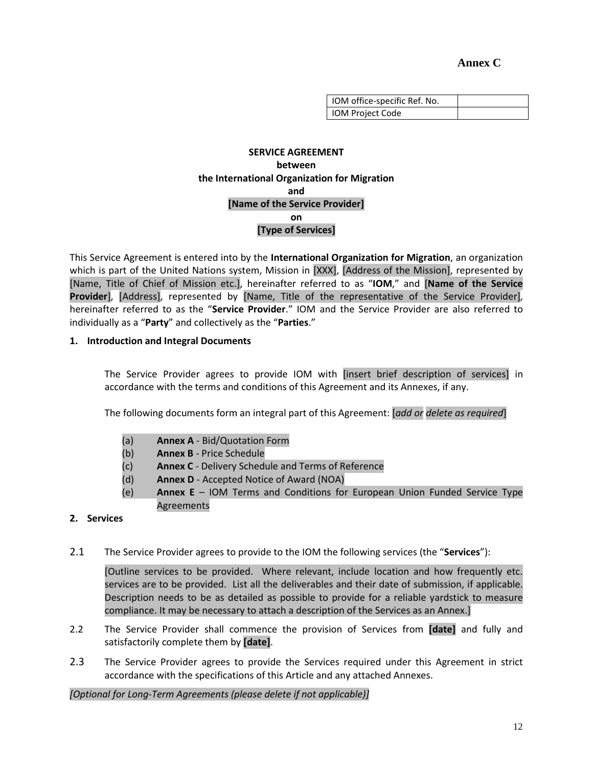### **Annex C**

| IOM office-specific Ref. No. |  |
|------------------------------|--|
| IOM Project Code             |  |

### **SERVICE AGREEMENT between the International Organization for Migration and [Name of the Service Provider] on [Type of Services]**

This Service Agreement is entered into by the **International Organization for Migration**, an organization which is part of the United Nations system, Mission in [XXX], [Address of the Mission], represented by [Name, Title of Chief of Mission etc.], hereinafter referred to as "**IOM**," and [**Name of the Service Provider**], [Address], represented by [Name, Title of the representative of the Service Provider], hereinafter referred to as the "**Service Provider**." IOM and the Service Provider are also referred to individually as a "**Party**" and collectively as the "**Parties**."

### **1. Introduction and Integral Documents**

The Service Provider agrees to provide IOM with [insert brief description of services] in accordance with the terms and conditions of this Agreement and its Annexes, if any.

The following documents form an integral part of this Agreement: [*add or delete as required*]

- (a) **Annex A** Bid/Quotation Form
- (b) **Annex B** Price Schedule
- (c) **Annex C** Delivery Schedule and Terms of Reference
- (d) **Annex D** Accepted Notice of Award (NOA)
- (e) **Annex E**  IOM Terms and Conditions for European Union Funded Service Type Agreements

### **2. Services**

2.1 The Service Provider agrees to provide to the IOM the following services (the "**Services**"):

[Outline services to be provided. Where relevant, include location and how frequently etc. services are to be provided. List all the deliverables and their date of submission, if applicable. Description needs to be as detailed as possible to provide for a reliable yardstick to measure compliance. It may be necessary to attach a description of the Services as an Annex.]

- 2.2 The Service Provider shall commence the provision of Services from **[date]** and fully and satisfactorily complete them by **[date]**.
- 2.3 The Service Provider agrees to provide the Services required under this Agreement in strict accordance with the specifications of this Article and any attached Annexes.

*[Optional for Long-Term Agreements (please delete if not applicable)]*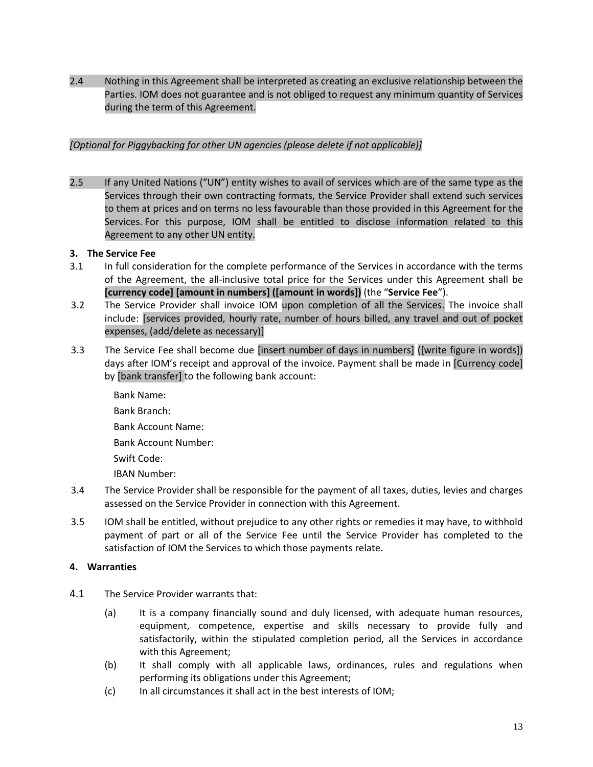2.4 Nothing in this Agreement shall be interpreted as creating an exclusive relationship between the Parties. IOM does not guarantee and is not obliged to request any minimum quantity of Services during the term of this Agreement.

### *[Optional for Piggybacking for other UN agencies (please delete if not applicable)]*

2.5 If any United Nations ("UN") entity wishes to avail of services which are of the same type as the Services through their own contracting formats, the Service Provider shall extend such services to them at prices and on terms no less favourable than those provided in this Agreement for the Services. For this purpose, IOM shall be entitled to disclose information related to this Agreement to any other UN entity.

#### **3. The Service Fee**

- 3.1 In full consideration for the complete performance of the Services in accordance with the terms of the Agreement, the all-inclusive total price for the Services under this Agreement shall be **[currency code] [amount in numbers] ([amount in words])** (the "**Service Fee**").
- 3.2 The Service Provider shall invoice IOM upon completion of all the Services. The invoice shall include: [services provided, hourly rate, number of hours billed, any travel and out of pocket expenses, (add/delete as necessary)]
- 3.3 The Service Fee shall become due [insert number of days in numbers] ([write figure in words]) days after IOM's receipt and approval of the invoice. Payment shall be made in [Currency code] by [bank transfer] to the following bank account:
	- Bank Name: Bank Branch: Bank Account Name: Bank Account Number: Swift Code: IBAN Number:
- 3.4 The Service Provider shall be responsible for the payment of all taxes, duties, levies and charges assessed on the Service Provider in connection with this Agreement.
- 3.5 IOM shall be entitled, without prejudice to any other rights or remedies it may have, to withhold payment of part or all of the Service Fee until the Service Provider has completed to the satisfaction of IOM the Services to which those payments relate.

#### **4. Warranties**

- 4.1 The Service Provider warrants that:
	- (a) It is a company financially sound and duly licensed, with adequate human resources, equipment, competence, expertise and skills necessary to provide fully and satisfactorily, within the stipulated completion period, all the Services in accordance with this Agreement;
	- (b) It shall comply with all applicable laws, ordinances, rules and regulations when performing its obligations under this Agreement;
	- (c) In all circumstances it shall act in the best interests of IOM;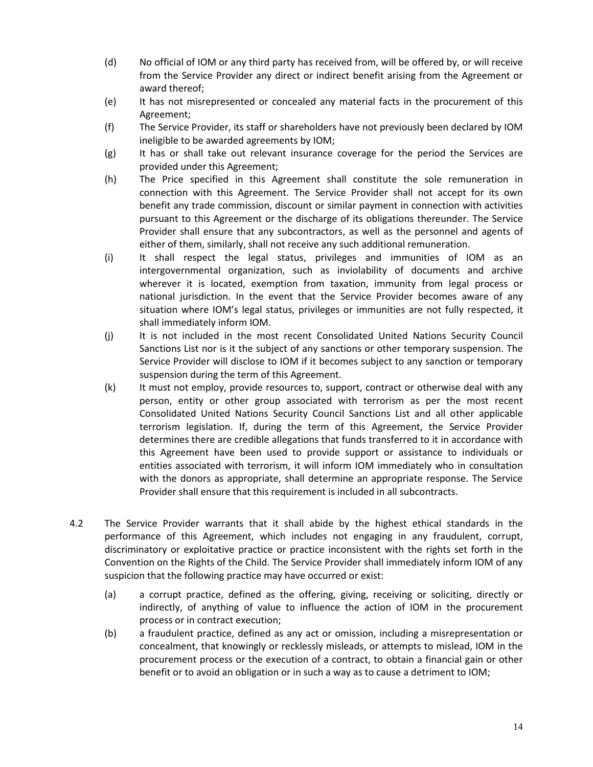- (d) No official of IOM or any third party has received from, will be offered by, or will receive from the Service Provider any direct or indirect benefit arising from the Agreement or award thereof;
- (e) It has not misrepresented or concealed any material facts in the procurement of this Agreement;
- (f) The Service Provider, its staff or shareholders have not previously been declared by IOM ineligible to be awarded agreements by IOM;
- (g) It has or shall take out relevant insurance coverage for the period the Services are provided under this Agreement;
- (h) The Price specified in this Agreement shall constitute the sole remuneration in connection with this Agreement. The Service Provider shall not accept for its own benefit any trade commission, discount or similar payment in connection with activities pursuant to this Agreement or the discharge of its obligations thereunder. The Service Provider shall ensure that any subcontractors, as well as the personnel and agents of either of them, similarly, shall not receive any such additional remuneration.
- (i) It shall respect the legal status, privileges and immunities of IOM as an intergovernmental organization, such as inviolability of documents and archive wherever it is located, exemption from taxation, immunity from legal process or national jurisdiction. In the event that the Service Provider becomes aware of any situation where IOM's legal status, privileges or immunities are not fully respected, it shall immediately inform IOM.
- (j) It is not included in the most recent Consolidated United Nations Security Council Sanctions List nor is it the subject of any sanctions or other temporary suspension. The Service Provider will disclose to IOM if it becomes subject to any sanction or temporary suspension during the term of this Agreement.
- (k) It must not employ, provide resources to, support, contract or otherwise deal with any person, entity or other group associated with terrorism as per the most recent Consolidated United Nations Security Council Sanctions List and all other applicable terrorism legislation. If, during the term of this Agreement, the Service Provider determines there are credible allegations that funds transferred to it in accordance with this Agreement have been used to provide support or assistance to individuals or entities associated with terrorism, it will inform IOM immediately who in consultation with the donors as appropriate, shall determine an appropriate response. The Service Provider shall ensure that this requirement is included in all subcontracts.
- 4.2 The Service Provider warrants that it shall abide by the highest ethical standards in the performance of this Agreement, which includes not engaging in any fraudulent, corrupt, discriminatory or exploitative practice or practice inconsistent with the rights set forth in the Convention on the Rights of the Child. The Service Provider shall immediately inform IOM of any suspicion that the following practice may have occurred or exist:
	- (a) a corrupt practice, defined as the offering, giving, receiving or soliciting, directly or indirectly, of anything of value to influence the action of IOM in the procurement process or in contract execution;
	- (b) a fraudulent practice, defined as any act or omission, including a misrepresentation or concealment, that knowingly or recklessly misleads, or attempts to mislead, IOM in the procurement process or the execution of a contract, to obtain a financial gain or other benefit or to avoid an obligation or in such a way as to cause a detriment to IOM;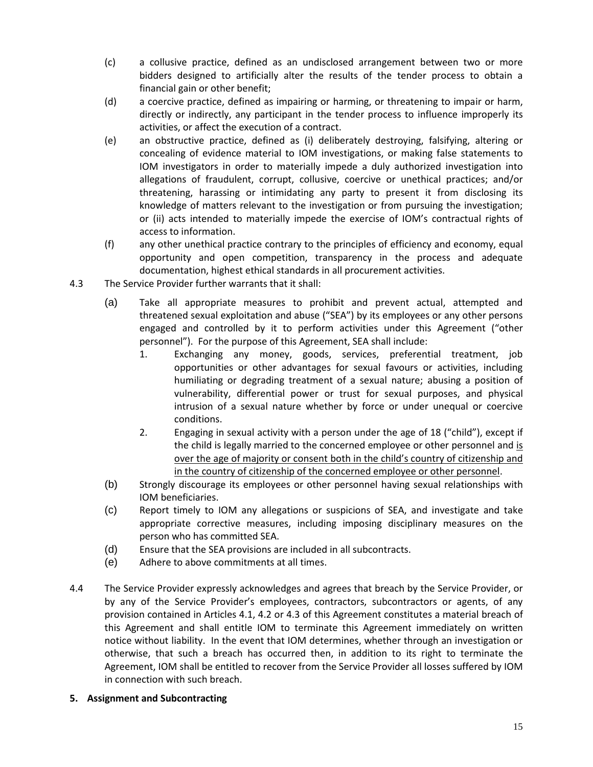- (c) a collusive practice, defined as an undisclosed arrangement between two or more bidders designed to artificially alter the results of the tender process to obtain a financial gain or other benefit;
- (d) a coercive practice, defined as impairing or harming, or threatening to impair or harm, directly or indirectly, any participant in the tender process to influence improperly its activities, or affect the execution of a contract.
- (e) an obstructive practice, defined as (i) deliberately destroying, falsifying, altering or concealing of evidence material to IOM investigations, or making false statements to IOM investigators in order to materially impede a duly authorized investigation into allegations of fraudulent, corrupt, collusive, coercive or unethical practices; and/or threatening, harassing or intimidating any party to present it from disclosing its knowledge of matters relevant to the investigation or from pursuing the investigation; or (ii) acts intended to materially impede the exercise of IOM's contractual rights of access to information.
- (f) any other unethical practice contrary to the principles of efficiency and economy, equal opportunity and open competition, transparency in the process and adequate documentation, highest ethical standards in all procurement activities.
- 4.3 The Service Provider further warrants that it shall:
	- (a) Take all appropriate measures to prohibit and prevent actual, attempted and threatened sexual exploitation and abuse ("SEA") by its employees or any other persons engaged and controlled by it to perform activities under this Agreement ("other personnel"). For the purpose of this Agreement, SEA shall include:
		- 1. Exchanging any money, goods, services, preferential treatment, job opportunities or other advantages for sexual favours or activities, including humiliating or degrading treatment of a sexual nature; abusing a position of vulnerability, differential power or trust for sexual purposes, and physical intrusion of a sexual nature whether by force or under unequal or coercive conditions.
		- 2. Engaging in sexual activity with a person under the age of 18 ("child"), except if the child is legally married to the concerned employee or other personnel and is over the age of majority or consent both in the child's country of citizenship and in the country of citizenship of the concerned employee or other personnel.
	- (b) Strongly discourage its employees or other personnel having sexual relationships with IOM beneficiaries.
	- (c) Report timely to IOM any allegations or suspicions of SEA, and investigate and take appropriate corrective measures, including imposing disciplinary measures on the person who has committed SEA.
	- (d) Ensure that the SEA provisions are included in all subcontracts.
	- (e) Adhere to above commitments at all times.
- 4.4 The Service Provider expressly acknowledges and agrees that breach by the Service Provider, or by any of the Service Provider's employees, contractors, subcontractors or agents, of any provision contained in Articles 4.1, 4.2 or 4.3 of this Agreement constitutes a material breach of this Agreement and shall entitle IOM to terminate this Agreement immediately on written notice without liability. In the event that IOM determines, whether through an investigation or otherwise, that such a breach has occurred then, in addition to its right to terminate the Agreement, IOM shall be entitled to recover from the Service Provider all losses suffered by IOM in connection with such breach.
- **5. Assignment and Subcontracting**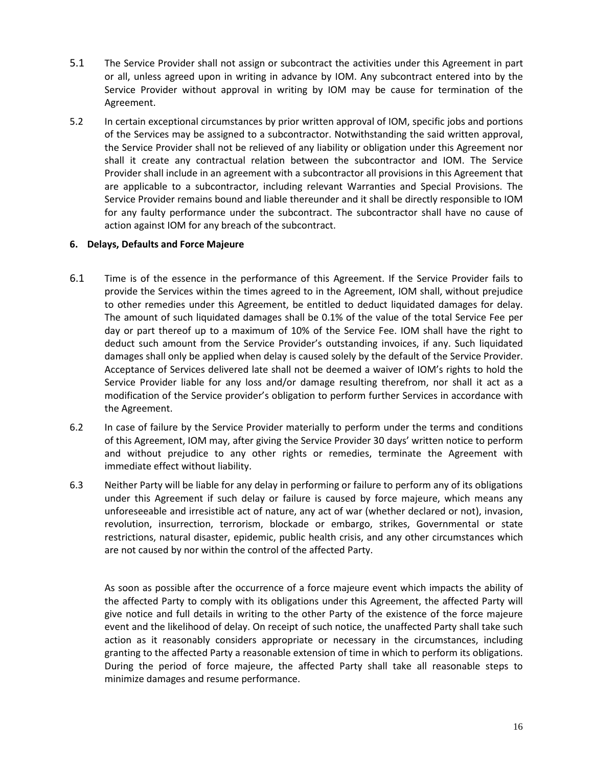- 5.1 The Service Provider shall not assign or subcontract the activities under this Agreement in part or all, unless agreed upon in writing in advance by IOM. Any subcontract entered into by the Service Provider without approval in writing by IOM may be cause for termination of the Agreement.
- 5.2 In certain exceptional circumstances by prior written approval of IOM, specific jobs and portions of the Services may be assigned to a subcontractor. Notwithstanding the said written approval, the Service Provider shall not be relieved of any liability or obligation under this Agreement nor shall it create any contractual relation between the subcontractor and IOM. The Service Provider shall include in an agreement with a subcontractor all provisions in this Agreement that are applicable to a subcontractor, including relevant Warranties and Special Provisions. The Service Provider remains bound and liable thereunder and it shall be directly responsible to IOM for any faulty performance under the subcontract. The subcontractor shall have no cause of action against IOM for any breach of the subcontract.

#### **6. Delays, Defaults and Force Majeure**

- 6.1 Time is of the essence in the performance of this Agreement. If the Service Provider fails to provide the Services within the times agreed to in the Agreement, IOM shall, without prejudice to other remedies under this Agreement, be entitled to deduct liquidated damages for delay. The amount of such liquidated damages shall be 0.1% of the value of the total Service Fee per day or part thereof up to a maximum of 10% of the Service Fee. IOM shall have the right to deduct such amount from the Service Provider's outstanding invoices, if any. Such liquidated damages shall only be applied when delay is caused solely by the default of the Service Provider. Acceptance of Services delivered late shall not be deemed a waiver of IOM's rights to hold the Service Provider liable for any loss and/or damage resulting therefrom, nor shall it act as a modification of the Service provider's obligation to perform further Services in accordance with the Agreement.
- 6.2 In case of failure by the Service Provider materially to perform under the terms and conditions of this Agreement, IOM may, after giving the Service Provider 30 days' written notice to perform and without prejudice to any other rights or remedies, terminate the Agreement with immediate effect without liability.
- 6.3 Neither Party will be liable for any delay in performing or failure to perform any of its obligations under this Agreement if such delay or failure is caused by force majeure, which means any unforeseeable and irresistible act of nature, any act of war (whether declared or not), invasion, revolution, insurrection, terrorism, blockade or embargo, strikes, Governmental or state restrictions, natural disaster, epidemic, public health crisis, and any other circumstances which are not caused by nor within the control of the affected Party.

As soon as possible after the occurrence of a force majeure event which impacts the ability of the affected Party to comply with its obligations under this Agreement, the affected Party will give notice and full details in writing to the other Party of the existence of the force majeure event and the likelihood of delay. On receipt of such notice, the unaffected Party shall take such action as it reasonably considers appropriate or necessary in the circumstances, including granting to the affected Party a reasonable extension of time in which to perform its obligations. During the period of force majeure, the affected Party shall take all reasonable steps to minimize damages and resume performance.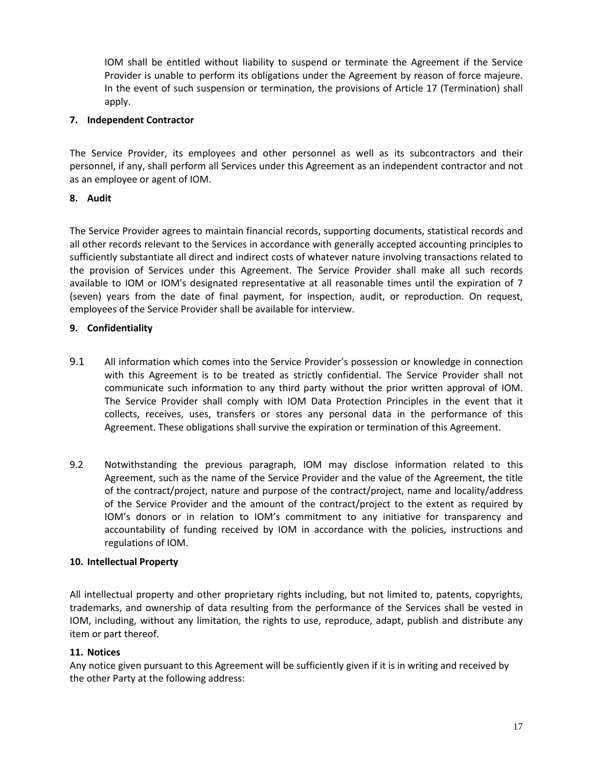IOM shall be entitled without liability to suspend or terminate the Agreement if the Service Provider is unable to perform its obligations under the Agreement by reason of force majeure. In the event of such suspension or termination, the provisions of Article 17 (Termination) shall apply.

### **7. Independent Contractor**

The Service Provider, its employees and other personnel as well as its subcontractors and their personnel, if any, shall perform all Services under this Agreement as an independent contractor and not as an employee or agent of IOM.

### **8. Audit**

The Service Provider agrees to maintain financial records, supporting documents, statistical records and all other records relevant to the Services in accordance with generally accepted accounting principles to sufficiently substantiate all direct and indirect costs of whatever nature involving transactions related to the provision of Services under this Agreement. The Service Provider shall make all such records available to IOM or IOM's designated representative at all reasonable times until the expiration of 7 (seven) years from the date of final payment, for inspection, audit, or reproduction. On request, employees of the Service Provider shall be available for interview.

### **9. Confidentiality**

- 9.1 All information which comes into the Service Provider's possession or knowledge in connection with this Agreement is to be treated as strictly confidential. The Service Provider shall not communicate such information to any third party without the prior written approval of IOM. The Service Provider shall comply with IOM Data Protection Principles in the event that it collects, receives, uses, transfers or stores any personal data in the performance of this Agreement. These obligations shall survive the expiration or termination of this Agreement.
- 9.2 Notwithstanding the previous paragraph, IOM may disclose information related to this Agreement, such as the name of the Service Provider and the value of the Agreement, the title of the contract/project, nature and purpose of the contract/project, name and locality/address of the Service Provider and the amount of the contract/project to the extent as required by IOM's donors or in relation to IOM's commitment to any initiative for transparency and accountability of funding received by IOM in accordance with the policies, instructions and regulations of IOM.

#### **10. Intellectual Property**

All intellectual property and other proprietary rights including, but not limited to, patents, copyrights, trademarks, and ownership of data resulting from the performance of the Services shall be vested in IOM, including, without any limitation, the rights to use, reproduce, adapt, publish and distribute any item or part thereof.

#### **11. Notices**

Any notice given pursuant to this Agreement will be sufficiently given if it is in writing and received by the other Party at the following address: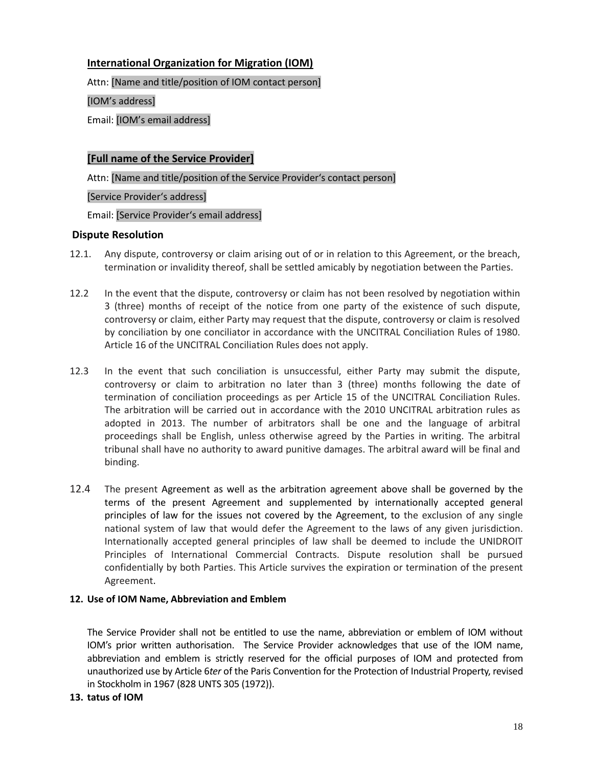## **International Organization for Migration (IOM)**

Attn: [Name and title/position of IOM contact person]

[IOM's address]

Email: [IOM's email address]

### **[Full name of the Service Provider]**

Attn: [Name and title/position of the Service Provider's contact person]

[Service Provider's address]

Email: [Service Provider's email address]

### **Dispute Resolution**

- 12.1. Any dispute, controversy or claim arising out of or in relation to this Agreement, or the breach, termination or invalidity thereof, shall be settled amicably by negotiation between the Parties.
- 12.2 In the event that the dispute, controversy or claim has not been resolved by negotiation within 3 (three) months of receipt of the notice from one party of the existence of such dispute, controversy or claim, either Party may request that the dispute, controversy or claim is resolved by conciliation by one conciliator in accordance with the UNCITRAL Conciliation Rules of 1980. Article 16 of the UNCITRAL Conciliation Rules does not apply.
- 12.3 In the event that such conciliation is unsuccessful, either Party may submit the dispute, controversy or claim to arbitration no later than 3 (three) months following the date of termination of conciliation proceedings as per Article 15 of the UNCITRAL Conciliation Rules. The arbitration will be carried out in accordance with the 2010 UNCITRAL arbitration rules as adopted in 2013. The number of arbitrators shall be one and the language of arbitral proceedings shall be English, unless otherwise agreed by the Parties in writing. The arbitral tribunal shall have no authority to award punitive damages. The arbitral award will be final and binding.
- 12.4 The present Agreement as well as the arbitration agreement above shall be governed by the terms of the present Agreement and supplemented by internationally accepted general principles of law for the issues not covered by the Agreement, to the exclusion of any single national system of law that would defer the Agreement to the laws of any given jurisdiction. Internationally accepted general principles of law shall be deemed to include the UNIDROIT Principles of International Commercial Contracts. Dispute resolution shall be pursued confidentially by both Parties. This Article survives the expiration or termination of the present Agreement.

### **12. Use of IOM Name, Abbreviation and Emblem**

The Service Provider shall not be entitled to use the name, abbreviation or emblem of IOM without IOM's prior written authorisation. The Service Provider acknowledges that use of the IOM name, abbreviation and emblem is strictly reserved for the official purposes of IOM and protected from unauthorized use by Article 6*ter* of the Paris Convention for the Protection of Industrial Property, revised in Stockholm in 1967 (828 UNTS 305 (1972)).

**13. tatus of IOM**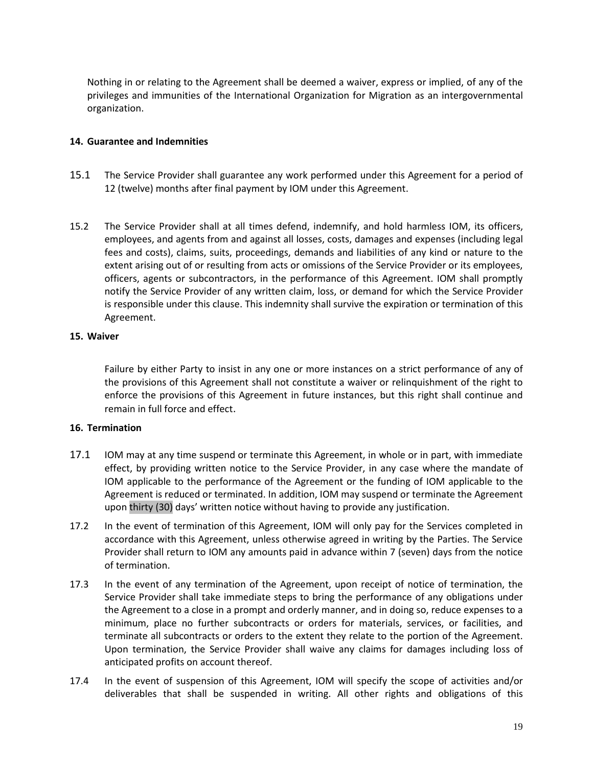Nothing in or relating to the Agreement shall be deemed a waiver, express or implied, of any of the privileges and immunities of the International Organization for Migration as an intergovernmental organization.

#### **14. Guarantee and Indemnities**

- 15.1 The Service Provider shall guarantee any work performed under this Agreement for a period of 12 (twelve) months after final payment by IOM under this Agreement.
- 15.2 The Service Provider shall at all times defend, indemnify, and hold harmless IOM, its officers, employees, and agents from and against all losses, costs, damages and expenses (including legal fees and costs), claims, suits, proceedings, demands and liabilities of any kind or nature to the extent arising out of or resulting from acts or omissions of the Service Provider or its employees, officers, agents or subcontractors, in the performance of this Agreement. IOM shall promptly notify the Service Provider of any written claim, loss, or demand for which the Service Provider is responsible under this clause. This indemnity shall survive the expiration or termination of this Agreement.

#### **15. Waiver**

Failure by either Party to insist in any one or more instances on a strict performance of any of the provisions of this Agreement shall not constitute a waiver or relinquishment of the right to enforce the provisions of this Agreement in future instances, but this right shall continue and remain in full force and effect.

#### **16. Termination**

- 17.1 IOM may at any time suspend or terminate this Agreement, in whole or in part, with immediate effect, by providing written notice to the Service Provider, in any case where the mandate of IOM applicable to the performance of the Agreement or the funding of IOM applicable to the Agreement is reduced or terminated. In addition, IOM may suspend or terminate the Agreement upon thirty (30) days' written notice without having to provide any justification.
- 17.2 In the event of termination of this Agreement, IOM will only pay for the Services completed in accordance with this Agreement, unless otherwise agreed in writing by the Parties. The Service Provider shall return to IOM any amounts paid in advance within 7 (seven) days from the notice of termination.
- 17.3 In the event of any termination of the Agreement, upon receipt of notice of termination, the Service Provider shall take immediate steps to bring the performance of any obligations under the Agreement to a close in a prompt and orderly manner, and in doing so, reduce expenses to a minimum, place no further subcontracts or orders for materials, services, or facilities, and terminate all subcontracts or orders to the extent they relate to the portion of the Agreement. Upon termination, the Service Provider shall waive any claims for damages including loss of anticipated profits on account thereof.
- 17.4 In the event of suspension of this Agreement, IOM will specify the scope of activities and/or deliverables that shall be suspended in writing. All other rights and obligations of this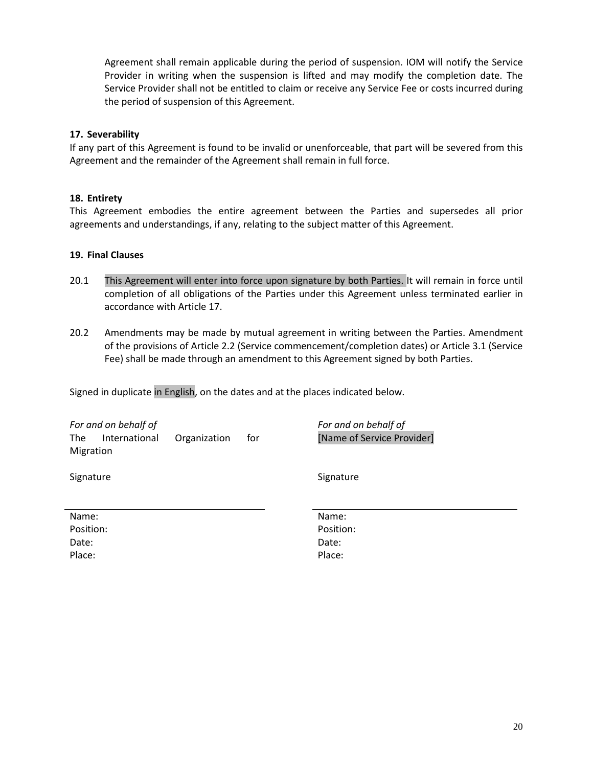Agreement shall remain applicable during the period of suspension. IOM will notify the Service Provider in writing when the suspension is lifted and may modify the completion date. The Service Provider shall not be entitled to claim or receive any Service Fee or costs incurred during the period of suspension of this Agreement.

#### **17. Severability**

If any part of this Agreement is found to be invalid or unenforceable, that part will be severed from this Agreement and the remainder of the Agreement shall remain in full force.

### **18. Entirety**

This Agreement embodies the entire agreement between the Parties and supersedes all prior agreements and understandings, if any, relating to the subject matter of this Agreement.

### **19. Final Clauses**

- 20.1 This Agreement will enter into force upon signature by both Parties. It will remain in force until completion of all obligations of the Parties under this Agreement unless terminated earlier in accordance with Article 17.
- 20.2 Amendments may be made by mutual agreement in writing between the Parties. Amendment of the provisions of Article 2.2 (Service commencement/completion dates) or Article 3.1 (Service Fee) shall be made through an amendment to this Agreement signed by both Parties.

Signed in duplicate in English, on the dates and at the places indicated below.

| For and on behalf of        |              |     | For and on behalf of       |
|-----------------------------|--------------|-----|----------------------------|
| International<br><b>The</b> | Organization | for | [Name of Service Provider] |
| Migration                   |              |     |                            |
| Signature                   |              |     | Signature                  |
|                             |              |     |                            |
| Name:                       |              |     | Name:                      |
| Position:                   |              |     | Position:                  |
| Date:                       |              |     | Date:                      |
| Place:                      |              |     | Place:                     |
|                             |              |     |                            |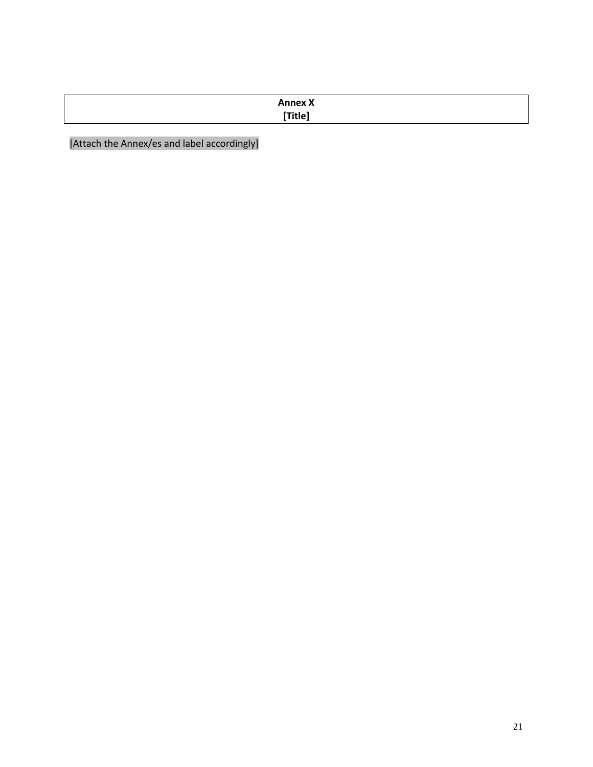| <b>Annex X</b>   |  |
|------------------|--|
| <b>PERSONA 1</b> |  |

[Attach the Annex/es and label accordingly]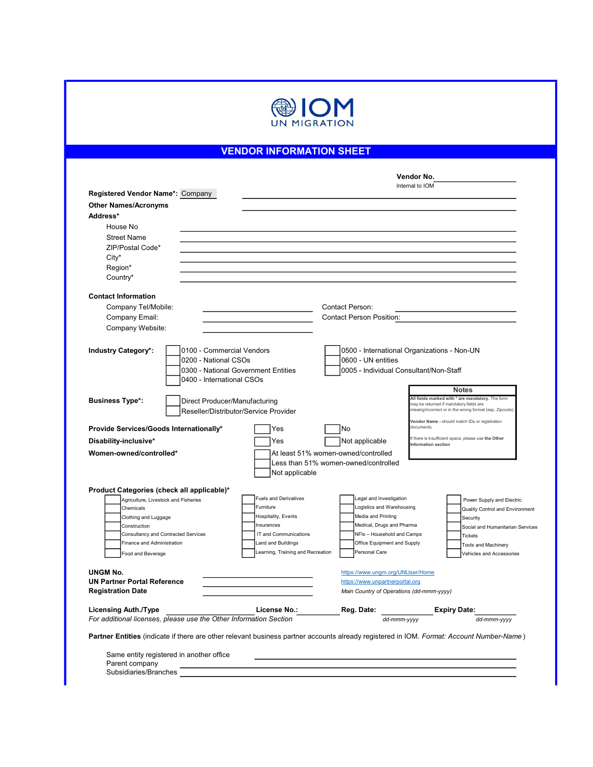

# VENDOR INFORMATION SHEET

| Registered Vendor Name*: Company<br><b>Other Names/Acronyms</b><br>Address*<br>House No<br><b>Street Name</b><br>ZIP/Postal Code*<br>City* |                                           |                                                      |                                                                                                     |
|--------------------------------------------------------------------------------------------------------------------------------------------|-------------------------------------------|------------------------------------------------------|-----------------------------------------------------------------------------------------------------|
|                                                                                                                                            |                                           |                                                      |                                                                                                     |
|                                                                                                                                            |                                           |                                                      |                                                                                                     |
|                                                                                                                                            |                                           |                                                      |                                                                                                     |
|                                                                                                                                            |                                           |                                                      |                                                                                                     |
|                                                                                                                                            |                                           |                                                      |                                                                                                     |
|                                                                                                                                            |                                           |                                                      |                                                                                                     |
|                                                                                                                                            |                                           |                                                      |                                                                                                     |
| Region*                                                                                                                                    |                                           |                                                      |                                                                                                     |
| Country*                                                                                                                                   |                                           |                                                      |                                                                                                     |
| <b>Contact Information</b>                                                                                                                 |                                           |                                                      |                                                                                                     |
| Company Tel/Mobile:                                                                                                                        |                                           | <b>Contact Person:</b>                               |                                                                                                     |
| Company Email:                                                                                                                             |                                           | <b>Contact Person Position:</b>                      |                                                                                                     |
| Company Website:                                                                                                                           |                                           |                                                      |                                                                                                     |
|                                                                                                                                            |                                           |                                                      |                                                                                                     |
| <b>Industry Category*:</b>                                                                                                                 | 0100 - Commercial Vendors                 |                                                      | 0500 - International Organizations - Non-UN                                                         |
| 0200 - National CSOs                                                                                                                       |                                           | 0600 - UN entities                                   |                                                                                                     |
|                                                                                                                                            | 0300 - National Government Entities       | 0005 - Individual Consultant/Non-Staff               |                                                                                                     |
| 0400 - International CSOs                                                                                                                  |                                           |                                                      |                                                                                                     |
|                                                                                                                                            |                                           |                                                      | <b>Notes</b><br>All fields marked with * are mandatory. The form                                    |
| <b>Business Type*:</b>                                                                                                                     | Direct Producer/Manufacturing             |                                                      | may be returned if mandatory fields are<br>missing/incorrect or in the wrong format (esp, Zipcode). |
|                                                                                                                                            | Reseller/Distributor/Service Provider     |                                                      |                                                                                                     |
| Provide Services/Goods Internationally*                                                                                                    | Yes                                       | No                                                   | Vendor Name - should match IDs or registration<br>documents.                                        |
| Disability-inclusive*                                                                                                                      | Yes                                       | Not applicable                                       | If there is insufficient space, please use the Other                                                |
| Women-owned/controlled*                                                                                                                    |                                           | At least 51% women-owned/controlled                  | Information section                                                                                 |
|                                                                                                                                            |                                           | Less than 51% women-owned/controlled                 |                                                                                                     |
|                                                                                                                                            | Not applicable                            |                                                      |                                                                                                     |
|                                                                                                                                            |                                           |                                                      |                                                                                                     |
| Product Categories (check all applicable)*                                                                                                 |                                           |                                                      |                                                                                                     |
| Agriculture, Livestock and Fisheries                                                                                                       | <b>Fuels and Derivatives</b><br>Furniture | Legal and Investigation<br>Logistics and Warehousing | Power Supply and Electric                                                                           |
| Chemicals<br>Clothing and Luggage                                                                                                          | Hospitality, Events                       | Media and Printing                                   | Quality Control and Environment                                                                     |
| Construction                                                                                                                               | Insurances                                | Medical, Drugs and Pharma                            | Security<br>Social and Humanitarian Services                                                        |
| Consultancy and Contracted Services                                                                                                        | IT and Communications                     | NFIs - Household and Camps                           | Tickets                                                                                             |
| Finance and Administration                                                                                                                 | <b>Land and Buildings</b>                 | Office Equipment and Supply                          | <b>Tools and Machinery</b>                                                                          |
| Food and Beverage                                                                                                                          | Learning, Training and Recreation         | Personal Care                                        | Vehicles and Accessories                                                                            |
| <b>UNGM No.</b>                                                                                                                            |                                           | https://www.ungm.org/UNUser/Home                     |                                                                                                     |
| <b>UN Partner Portal Reference</b>                                                                                                         |                                           | https://www.unpartnerportal.org                      |                                                                                                     |
| <b>Registration Date</b>                                                                                                                   |                                           | Main Country of Operations (dd-mmm-yyyy)             |                                                                                                     |
| <b>Licensing Auth./Type</b>                                                                                                                | License No.:                              | Reg. Date:                                           | <b>Expiry Date:</b>                                                                                 |
| For additional licenses, please use the Other Information Section                                                                          |                                           | dd-mmm-yyyy                                          | dd-mmm-yyyy                                                                                         |
| Partner Entities (indicate if there are other relevant business partner accounts already registered in IOM. Format: Account Number-Name)   |                                           |                                                      |                                                                                                     |
|                                                                                                                                            |                                           |                                                      |                                                                                                     |
| Same entity registered in another office                                                                                                   |                                           |                                                      |                                                                                                     |

Subsidiaries/Branches